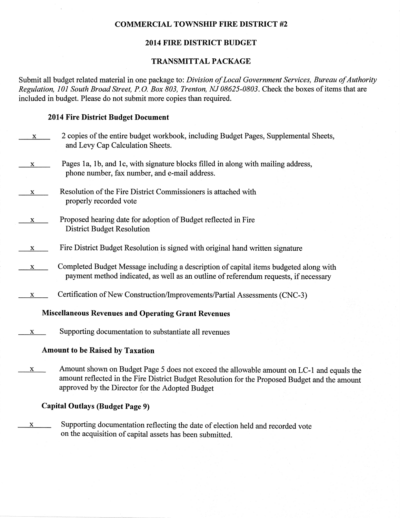#### COMMERCIAL TOWNSHIP FIRE DISTRICT #2

#### 2014 FIRE DISTRICT BUDGET

#### TRANSMITTAL PACKAGE

Submit all budget related material in one package to: Division of Local Government Services, Bureau of Authority Regulation, 101 South Broad Street, P.O. Box 803, Trenton, NJ 08625-0803. Check the boxes of items that are included in budget. Please do not submit more copies than required.

#### 2014 Fire District Budget Document

| X | 2 copies of the entire budget workbook, including Budget Pages, Supplemental Sheets,<br>and Levy Cap Calculation Sheets.                                                                                                                                                                                |
|---|---------------------------------------------------------------------------------------------------------------------------------------------------------------------------------------------------------------------------------------------------------------------------------------------------------|
| X | Pages 1a, 1b, and 1c, with signature blocks filled in along with mailing address,<br>phone number, fax number, and e-mail address.                                                                                                                                                                      |
| X | Resolution of the Fire District Commissioners is attached with<br>properly recorded vote                                                                                                                                                                                                                |
| X | Proposed hearing date for adoption of Budget reflected in Fire<br><b>District Budget Resolution</b>                                                                                                                                                                                                     |
| X | Fire District Budget Resolution is signed with original hand written signature                                                                                                                                                                                                                          |
| X | Completed Budget Message including a description of capital items budgeted along with<br>payment method indicated, as well as an outline of referendum requests, if necessary                                                                                                                           |
| X | Certification of New Construction/Improvements/Partial Assessments (CNC-3)                                                                                                                                                                                                                              |
|   | <b>Miscellaneous Revenues and Operating Grant Revenues</b>                                                                                                                                                                                                                                              |
| x | Supporting documentation to substantiate all revenues                                                                                                                                                                                                                                                   |
|   | <b>Amount to be Raised by Taxation</b>                                                                                                                                                                                                                                                                  |
|   | $\lambda$ and $\lambda$ is the state $\lambda$ is the state $\lambda$ in $\lambda$ in $\lambda$ is the state $\lambda$ in $\lambda$ is the state $\lambda$ is the state $\lambda$ is the state $\lambda$ is the state $\lambda$ is the state $\lambda$ is the state $\lambda$ is the state $\lambda$ is |

 $x$  Amount shown on Budget Page 5 does not exceed the allowable amount on LC-1 and equals the amount reflected in the Fire District Budget Resolution for the Proposed Budget and the amount approved by the Director for the Adopted Budget

#### Capital Outlays (Budget Page 9)

 $x$  Supporting documentation reflecting the date of election held and recorded vote on the acquisition of capital assets has been submitted.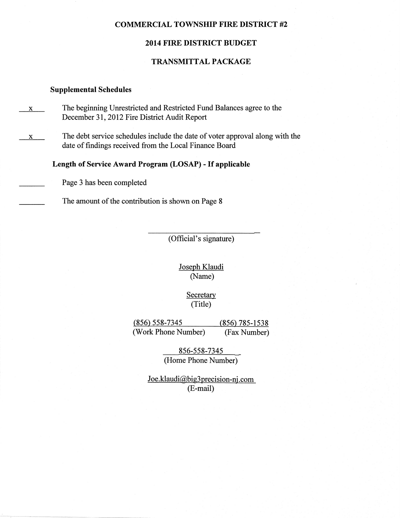#### COMMERCIAL TOWNSHIP FIRE DISTRICT #2

#### 2014 FIRE DISTRICT BUDGET

#### TRANSMITTAL PACKAGE

#### Supplemental Schedules

- The beginning Unrestricted and Restricted Fund Balances agree to the December 31,2012 Fire District Audit Report X
- The debt service schedules include the date of voter approval along with the date of findings received from the Local Finance Board x

#### Length of Service Award Program (LOSAP) - If applicable

Page 3 has been completed

The amount of the contribution is shown on Page 8

(Official's signature)

Joseph Klaudi (Name)

> Secretary (Title)

(856) 558-7345 (856) 785-1538 (Work Phone Number) (Fax Number)

> 856-558-7345 \_ (Home Phone Number)

 $Joe.klaudi@big3 precision-nj.com$ (E-mail)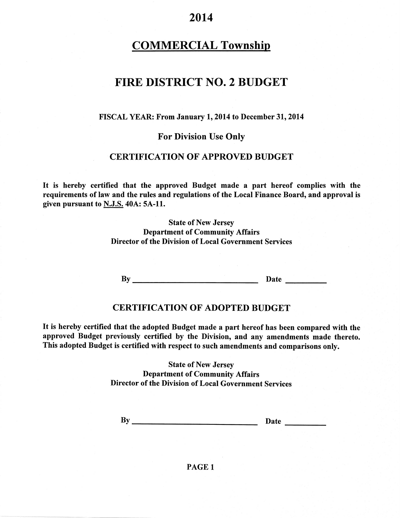2014

### **COMMERCIAL Township**

### FIRE DISTRICT NO.2 BUDGET

#### FISCAL YEAR: From January 1, 2014 to December 31, 2014

#### For Division Use Only

#### **CERTIFICATION OF APPROVED BUDGET**

It is hereby certified that the approved Budget made a part hereof complies with the requirements of law and the rules and regulations of the Local Finance Board, and approval is given pursuant to N.J.S.40A: 5A-11.

> State of New Jersey Department of Community Affairs Director of the Division of Local Government Services

By Date

#### **CERTIFICATION OF ADOPTED BUDGET**

It is hereby certified that the adopted Budget made a part hereof has been compared with the approved Budget previously certified by the Division, and any amendments made thereto. This adopted Budget is certified with respect to such amendments and comparisons only.

> State of New Jersey Department of Community Affairs Director of the Division of Local Government Services

By Date

PAGE <sup>1</sup>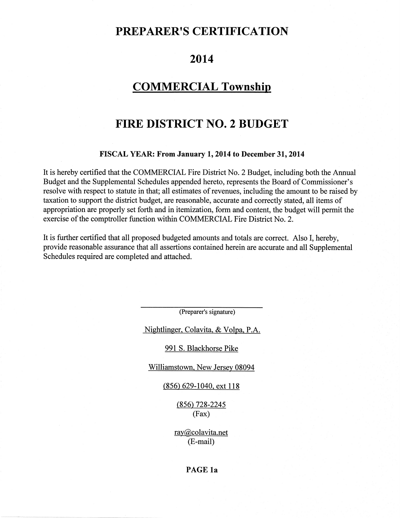### PREPARER'S CERTIFICATION

### 2014

### COMMERCIAL Township

### FIRE DISTRICT NO.2 BUDGET

#### FISCAL YEAR: From January 1, 2014 to December 31, 2014

It is hereby certified that the COMMERCIAL Fire District No. 2 Budget, including both the Annual Budget and the Supplemental Schedules appended hereto, represents the Board of Commissioner's resolve with respect to statute in that; all estimates of revenues, including the amount to be raised by taxation to support the district budget, are reasonable, accurate and correctly stated, all items of appropriation are properly set forth and in itemization, form and content, the budget will permit the exercise of the comptroller function within COMMERCIAL Fire District No. 2.

It is fufher certified that all proposed budgeted amounts and totals are correct. Also I, hereby, provide reasonable assurance that all assertions contained herein are accurate and all Supplemental Schedules required are completed and attached.

(Preparer's signature)

Nightlinger. Colavita. & Volpa. P.A.

991 S. Blackhorse Pike

Williamstown. New Jersey 08094

(856) 629-1040, ext 118

(8s6\ 728-224s (Fax)

rav@colavita.net (E-mail)

#### PAGE la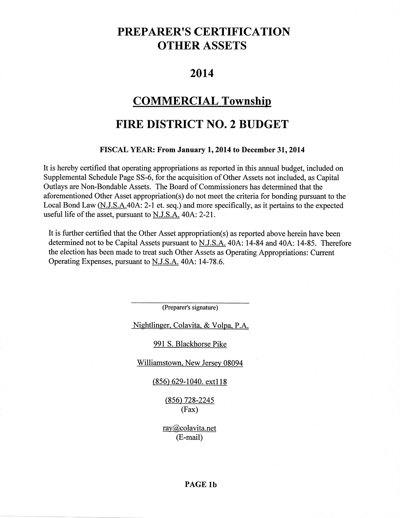## PREPARER'S CERTIFICATION OTHER ASSETS

### 2û14

### COMMERCIAL Township

### FIRE DISTRICT NO.2 BUDGET

#### FISCAL YEAR: From January 1, 2014 to December 31, 2014

It is hereby certified that operating appropriations as reported in this annual budget, included on Supplemental Schedule Page 55-6, for the acquisition of Other Assets not included, as Capital Outlays are Non-Bondable Assets. The Board of Commissioners has determined that the aforementioned Other Asset appropriation(s) do not meet the criteria for bonding pursuant to the Local Bond Law (N.J.S.A.40A: 2-l et. seq.) and more specifically, as it pertains to the expected useful life of the asset, pursuant to N.J.S.A. 40A: 2-21.

It is further certified that the Other Asset appropriation(s) as reported above herein have been determined not to be Capital Assets pursuant to N.J.S.A. 40A: 14-84 and 404: 14-85. Therefore the election has been made to treat such Other Assets as Operating Appropriations: Current Operating Expenses, pursuant to N.J.S.A. 40A: 14-78.6.

(Preparer's signature)

Nightlineer. Colavita. & Volpa. P.A.

#### 991 S. Blackhorse Pike

Williamstown. New Jersey 08094

#### $(856)$  629-1040. ext118

(856) 728-2245 (Fax)

ray@colavita.net (E-mail)

#### PAGE lb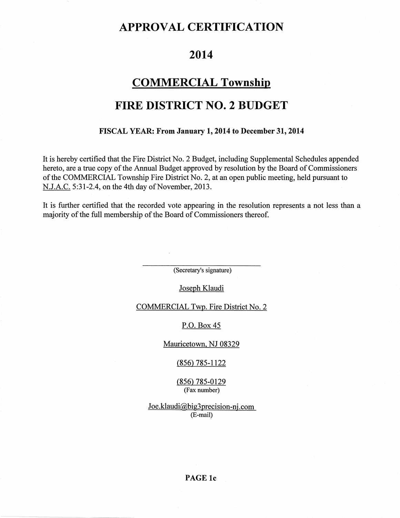### APPROVAL CERTIFICATION

### 2014

### COMMERCIAL Township

### FIRE DISTRICT NO.2 BUDGET

#### FISCAL YEAR: From January 1,2014 to December3l,20l4

It is hereby certified that the Fire District No. 2 Budget, including Supplemental Schedules appended hereto, are a true copy of the Annual Budget approved by resolution by the Board of Commissioners of the COMMERCIAL Township Fire District No. 2, at an open public meeting, held pursuant to  $N.J.A.C. 5:31-2.4$ , on the 4th day of November, 2013.

It is further certified that the recorded vote appearing in the resolution represents a not less than a majority of the full membership of the Board of Commissioners thereof.

(Secretary's signature)

Joseph Klaudi

COMMERCIAL Twp. Fire District No. 2

P.O. Box 45

Mauricetown. NJ 08329

 $(856)$  785-1122

 $(856)$  785-0129 (Fax number)

 $Joe.klaudi@big3 precision-nj.com$ (E-mail)

PAGE lc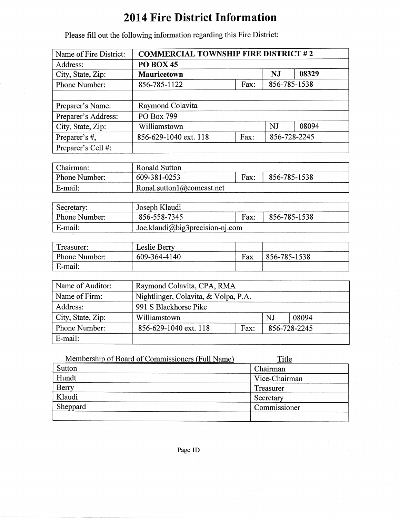# 2014 Fire District Information

| Name of Fire District: | <b>COMMERCIAL TOWNSHIP FIRE DISTRICT #2</b>   |  |    |       |
|------------------------|-----------------------------------------------|--|----|-------|
| Address:               | <b>PO BOX 45</b>                              |  |    |       |
| City, State, Zip:      | 08329<br><b>NJ</b><br><b>Mauricetown</b>      |  |    |       |
| <b>Phone Number:</b>   | 856-785-1538<br>856-785-1122<br>Fax:          |  |    |       |
|                        |                                               |  |    |       |
| Preparer's Name:       | Raymond Colavita                              |  |    |       |
| Preparer's Address:    | PO Box 799                                    |  |    |       |
| City, State, Zip:      | Williamstown                                  |  | NJ | 08094 |
| Preparer's #,          | 856-728-2245<br>Fax:<br>856-629-1040 ext. 118 |  |    |       |
| Preparer's Cell #:     |                                               |  |    |       |

Please fill out the following information regarding this Fire District:

| Chairman:     | Ronald Sutton             |      |              |
|---------------|---------------------------|------|--------------|
| Phone Number: | 609-381-0253              | Fax: | 856-785-1538 |
| E-mail:       | Ronal.sutton1@comcast.net |      |              |

| Secretary:           | Joseph Klaudi                   |      |              |
|----------------------|---------------------------------|------|--------------|
| <b>Phone Number:</b> | 856-558-7345                    | Fax: | 856-785-1538 |
| E-mail:              | Joe.klaudi@big3precision-nj.com |      |              |

| Treasurer:    | Leslie Berry |     |              |
|---------------|--------------|-----|--------------|
| Phone Number: | 609-364-4140 | Fax | 856-785-1538 |
| E-mail:       |              |     |              |

| Name of Auditor:  | Raymond Colavita, CPA, RMA           |  |              |       |
|-------------------|--------------------------------------|--|--------------|-------|
| Name of Firm:     | Nightlinger, Colavita, & Volpa, P.A. |  |              |       |
| Address:          | 991 S Blackhorse Pike                |  |              |       |
| City, State, Zip: | Williamstown                         |  | NJ           | 08094 |
| Phone Number:     | 856-629-1040 ext. 118<br>Fax:        |  | 856-728-2245 |       |
| E-mail:           |                                      |  |              |       |

| Membership of Board of Commissioners (Full Name) | Title         |
|--------------------------------------------------|---------------|
| Sutton                                           | Chairman      |
| Hundt                                            | Vice-Chairman |
| Berry                                            | Treasurer     |
| Klaudi                                           | Secretary     |
| Sheppard                                         | Commissioner  |
|                                                  |               |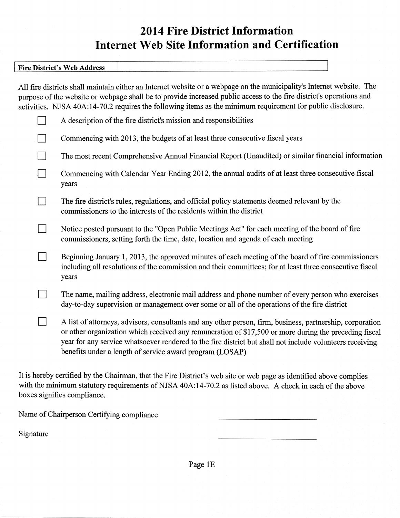# 2014 Fire Ðistrict Information Internet Web Site Information and Certification

| THE DISLIELD WOU INTO THE |                                                                                                                                                                                                                                                                                                                                                             |  |
|---------------------------|-------------------------------------------------------------------------------------------------------------------------------------------------------------------------------------------------------------------------------------------------------------------------------------------------------------------------------------------------------------|--|
|                           | All fire districts shall maintain either an Internet website or a webpage on the municipality's Internet website. The<br>purpose of the website or webpage shall be to provide increased public access to the fire district's operations and<br>activities. NJSA 40A:14-70.2 requires the following items as the minimum requirement for public disclosure. |  |
|                           | A description of the fire district's mission and responsibilities                                                                                                                                                                                                                                                                                           |  |

 $\Box$  Commencing with 2013, the budgets of at least three consecutive fiscal years

 $\perp$ 

Fire District's Web Address

 $\Box$  The most recent Comprehensive Annual Financial Report (Unaudited) or similar financial information

Commencing with Calendar Year Ending 2012, the annual audits of at least three consecutive fiscal years

The fire district's rules, regulations, and official policy statements deemed relevant by the commissioners to the interests of the residents within the district

 $\Box$  Notice posted pursuant to the "Open Public Meetings Act" for each meeting of the board of fire commissioners, setting forth the time, date, location and agenda of each meeting

**the Beginning January 1, 2013, the approved minutes of each meeting of the board of fire commissioners** including all resolutions of the commission and their committees; for at least three consecutive fiscal years

The name, mailing address, electronic mail address and phone number of every person who exercises day-to-day supervision or management over some or all of the operations of the fire district

n <sup>A</sup>fist of attorneys, advisors, consultants and any other person, flrm, business, partnership, corporation or other organization which received any remuneration of \$17,500 or more during the preceding fiscal year for any service whatsoever rendered to the fire district but shall not include volunteers receiving benefits under a length of service award program (LOSAP)

It is hereby certified by the Chairman, that the Fire District's web site or web page as identified above complies with the minimum statutory requirements of NJSA 40A:14-70.2 as listed above. A check in each of the above boxes signifies compliance.

Name of Chairperson Certifying compliance

Signature

Page 1E